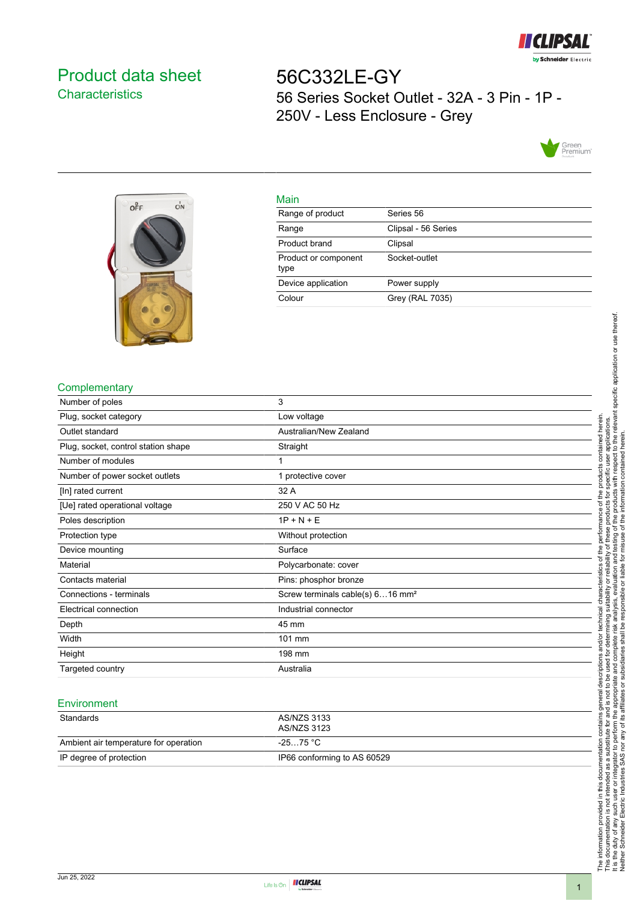

# <span id="page-0-0"></span>Product data sheet **Characteristics**

56C332LE-GY 56 Series Socket Outlet - 32A - 3 Pin - 1P - 250V - Less Enclosure - Grey





#### Main

| . <u>.</u> .                 |                     |
|------------------------------|---------------------|
| Range of product             | Series 56           |
| Range                        | Clipsal - 56 Series |
| Product brand                | Clipsal             |
| Product or component<br>type | Socket-outlet       |
| Device application           | Power supply        |
| Colour                       | Grey (RAL 7035)     |

### **Complementary**

| Number of poles                     | 3                                            |
|-------------------------------------|----------------------------------------------|
| Plug, socket category               | Low voltage                                  |
| Outlet standard                     | Australian/New Zealand                       |
| Plug, socket, control station shape | Straight                                     |
| Number of modules                   |                                              |
| Number of power socket outlets      | 1 protective cover                           |
| [In] rated current                  | 32 A                                         |
| [Ue] rated operational voltage      | 250 V AC 50 Hz                               |
| Poles description                   | $1P + N + E$                                 |
| Protection type                     | Without protection                           |
| Device mounting                     | Surface                                      |
| Material                            | Polycarbonate: cover                         |
| Contacts material                   | Pins: phosphor bronze                        |
| Connections - terminals             | Screw terminals cable(s) 616 mm <sup>2</sup> |
| Electrical connection               | Industrial connector                         |
| Depth                               | 45 mm                                        |
| Width                               | 101 mm                                       |
| Height                              | 198 mm                                       |
| Targeted country                    | Australia                                    |

#### **Environment**

| Standards                             | AS/NZS 3133<br>AS/NZS 3123  |
|---------------------------------------|-----------------------------|
| Ambient air temperature for operation | -25…75 °C                   |
| IP degree of protection               | IP66 conforming to AS 60529 |